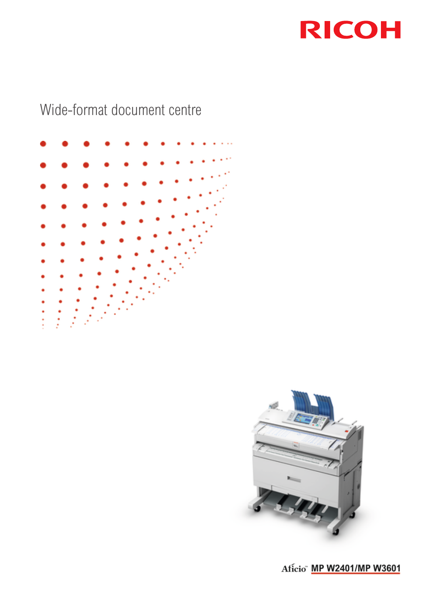

# Wide-format document centre





Aficio" MP W2401/MP W3601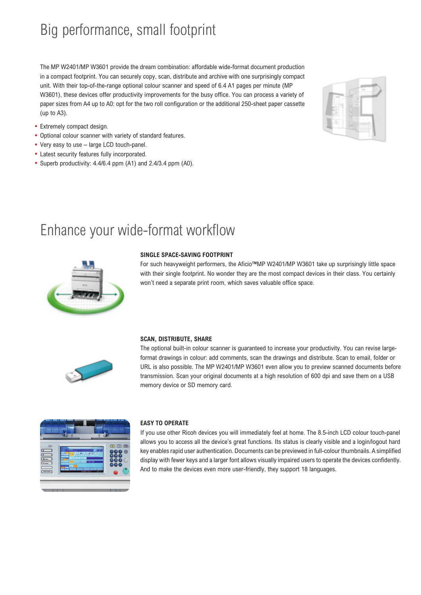# Big performance, small footprint

The MP W2401/MP W3601 provide the dream combination: affordable wide-format document production in a compact footprint. You can securely copy, scan, distribute and archive with one surprisingly compact unit. With their top-of-the-range optional colour scanner and speed of 6.4 A1 pages per minute (MP W3601), these devices offer productivity improvements for the busy office. You can process a variety of paper sizes from A4 up to A0: opt for the two roll configuration or the additional 250-sheet paper cassette (up to A3).

- Extremely compact design.
- Optional colour scanner with variety of standard features.
- Very easy to use large LCD touch-panel.
- Latest security features fully incorporated.
- Superb productivity: 4.4/6.4 ppm (A1) and 2.4/3.4 ppm (A0).

|  |        | ٠ | ×      |   |
|--|--------|---|--------|---|
|  |        |   |        |   |
|  | ×<br>۰ |   |        |   |
|  |        | ١ | ×<br>٠ | ٠ |
|  |        |   |        |   |
|  |        |   |        |   |

## Enhance your wide-format workflow



#### **SINGLE SPACE-SAVING FOOTPRINT**

For such heavyweight performers, the Aficio™MP W2401/MP W3601 take up surprisingly little space with their single footprint. No wonder they are the most compact devices in their class. You certainly won't need a separate print room, which saves valuable office space.



#### **SCAN, DISTRIBUTE, SHARE**

The optional built-in colour scanner is guaranteed to increase your productivity. You can revise largeformat drawings in colour: add comments, scan the drawings and distribute. Scan to email, folder or URL is also possible. The MP W2401/MP W3601 even allow you to preview scanned documents before transmission. Scan your original documents at a high resolution of 600 dpi and save them on a USB memory device or SD memory card.



#### **EASY TO OPERATE**

If you use other Ricoh devices you will immediately feel at home. The 8.5-inch LCD colour touch-panel allows you to access all the device's great functions. Its status is clearly visible and a login/logout hard key enables rapid user authentication. Documents can be previewed in full-colour thumbnails. A simplified display with fewer keys and a larger font allows visually impaired users to operate the devices confidently. And to make the devices even more user-friendly, they support 18 languages.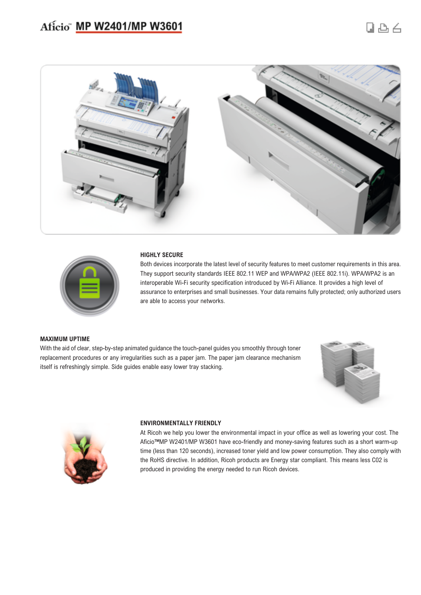### Aficio" MP W2401/MP W3601





#### **HIGHLY SECURE**

Both devices incorporate the latest level of security features to meet customer requirements in this area. They support security standards IEEE 802.11 WEP and WPA/WPA2 (IEEE 802.11i). WPA/WPA2 is an interoperable Wi-Fi security specification introduced by Wi-Fi Alliance. It provides a high level of assurance to enterprises and small businesses. Your data remains fully protected; only authorized users are able to access your networks.

#### **MAXIMUM UPTIME**

With the aid of clear, step-by-step animated guidance the touch-panel guides you smoothly through toner replacement procedures or any irregularities such as a paper jam. The paper jam clearance mechanism itself is refreshingly simple. Side guides enable easy lower tray stacking.





#### **ENVIRONMENTALLY FRIENDLY**

At Ricoh we help you lower the environmental impact in your office as well as lowering your cost. The Aficio™MP W2401/MP W3601 have eco-friendly and money-saving features such as a short warm-up time (less than 120 seconds), increased toner yield and low power consumption. They also comply with the RoHS directive. In addition, Ricoh products are Energy star compliant. This means less C02 is produced in providing the energy needed to run Ricoh devices.